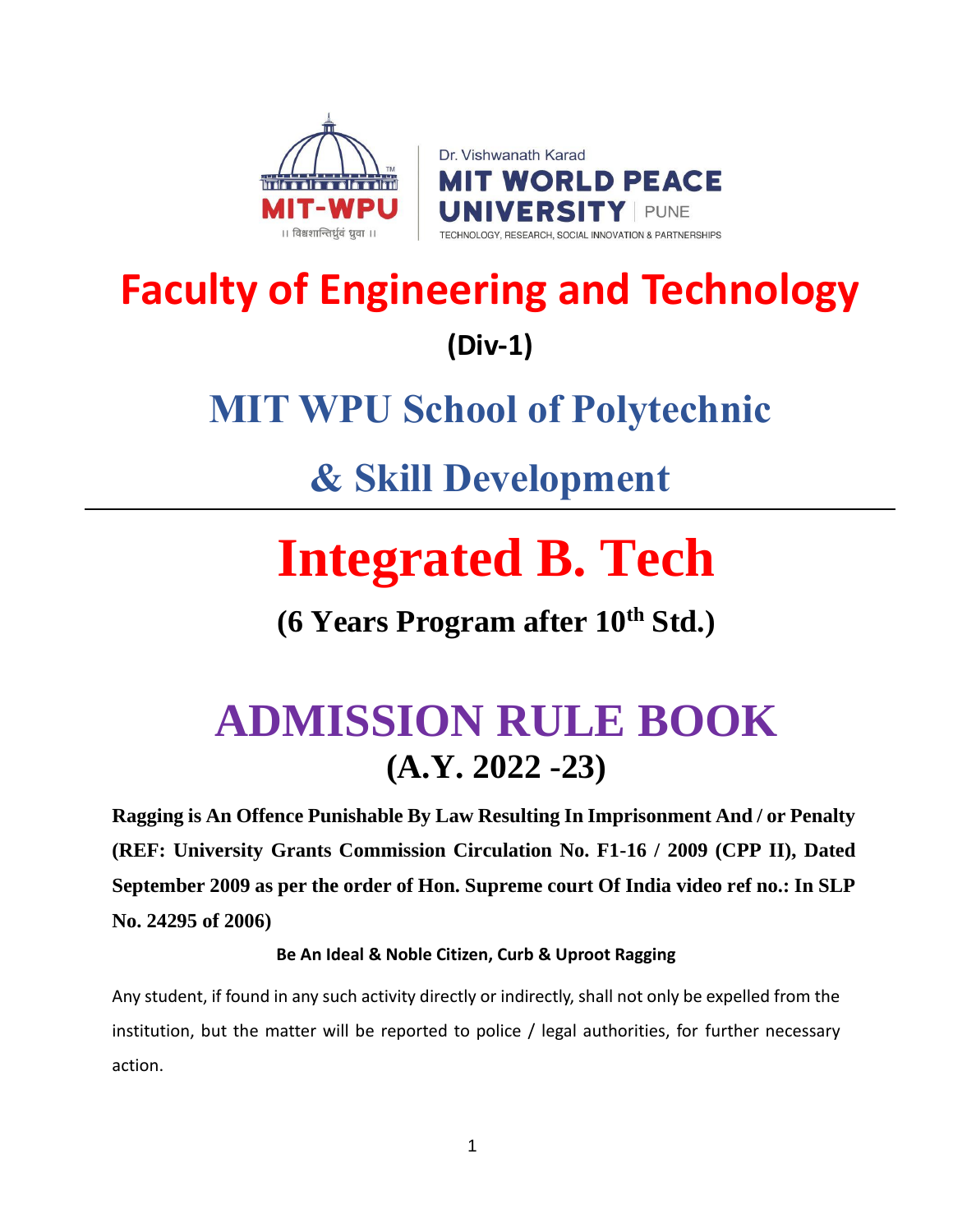



## **Faculty of Engineering and Technology (Div-1)**

## **MIT WPU School of Polytechnic**

## **& Skill Development**

# **Integrated B. Tech**

**(6 Years Program after 10th Std.)**

## **ADMISSION RULE BOOK (A.Y. 2022 -23)**

**Ragging is An Offence Punishable By Law Resulting In Imprisonment And / or Penalty (REF: University Grants Commission Circulation No. F1-16 / 2009 (CPP II), Dated September 2009 as per the order of Hon. Supreme court Of India video ref no.: In SLP No. 24295 of 2006)**

#### **Be An Ideal & Noble Citizen, Curb & Uproot Ragging**

Any student, if found in any such activity directly or indirectly, shall not only be expelled from the institution, but the matter will be reported to police / legal authorities, for further necessary action.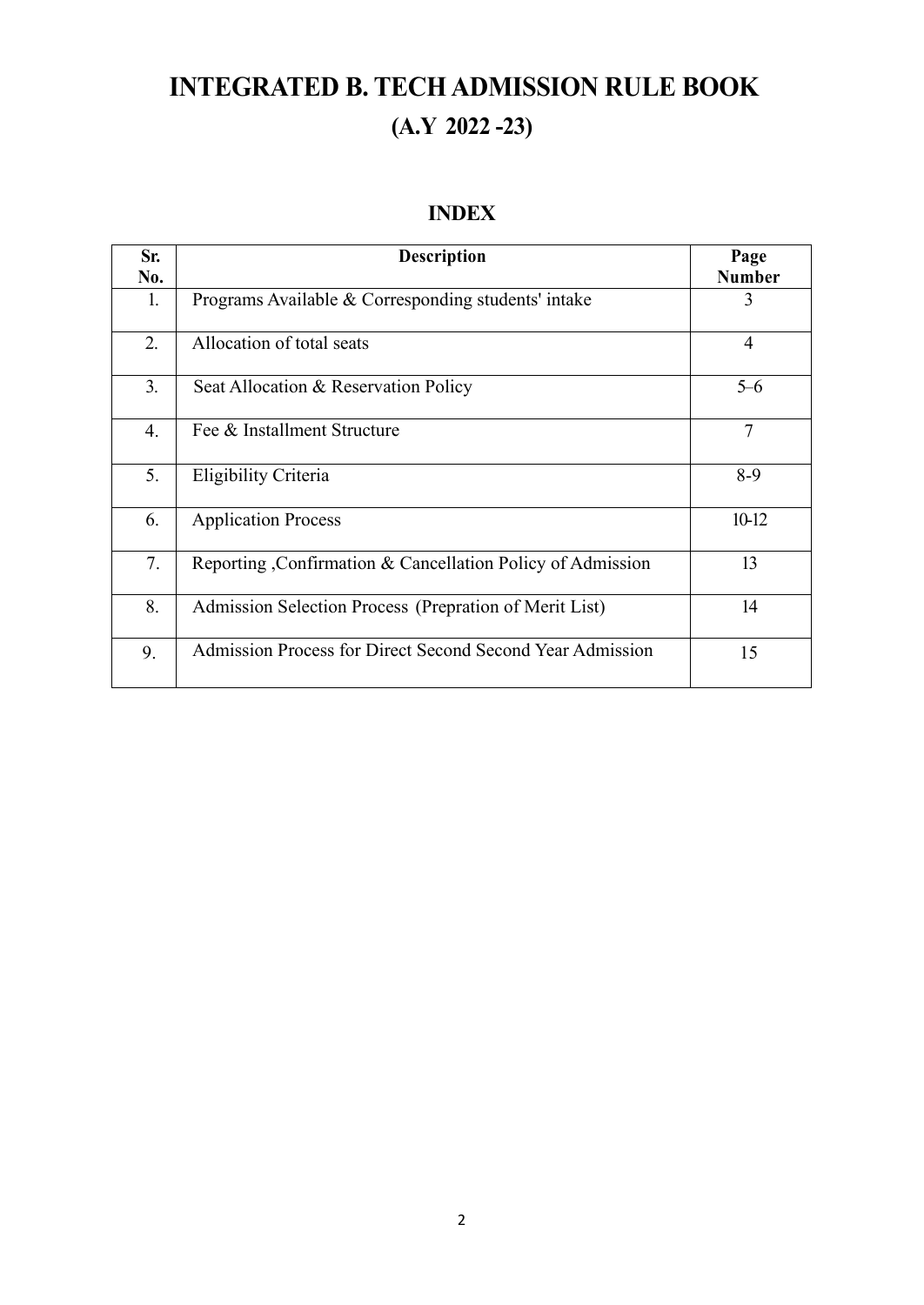### **INTEGRATED B. TECHADMISSION RULE BOOK (A.Y 2022 -23)**

#### **INDEX**

| Sr.<br>No.       | <b>Description</b>                                          | Page<br><b>Number</b> |
|------------------|-------------------------------------------------------------|-----------------------|
| 1.               | Programs Available & Corresponding students' intake         | 3                     |
| 2.               | Allocation of total seats                                   | $\overline{4}$        |
| 3.               | Seat Allocation & Reservation Policy                        | $5-6$                 |
| $\overline{4}$ . | Fee & Installment Structure                                 | $\overline{7}$        |
| 5.               | Eligibility Criteria                                        | $8-9$                 |
| 6.               | <b>Application Process</b>                                  | 10-12                 |
| 7.               | Reporting , Confirmation & Cancellation Policy of Admission | 13                    |
| 8.               | Admission Selection Process (Prepration of Merit List)      | 14                    |
| 9.               | Admission Process for Direct Second Second Year Admission   | 15                    |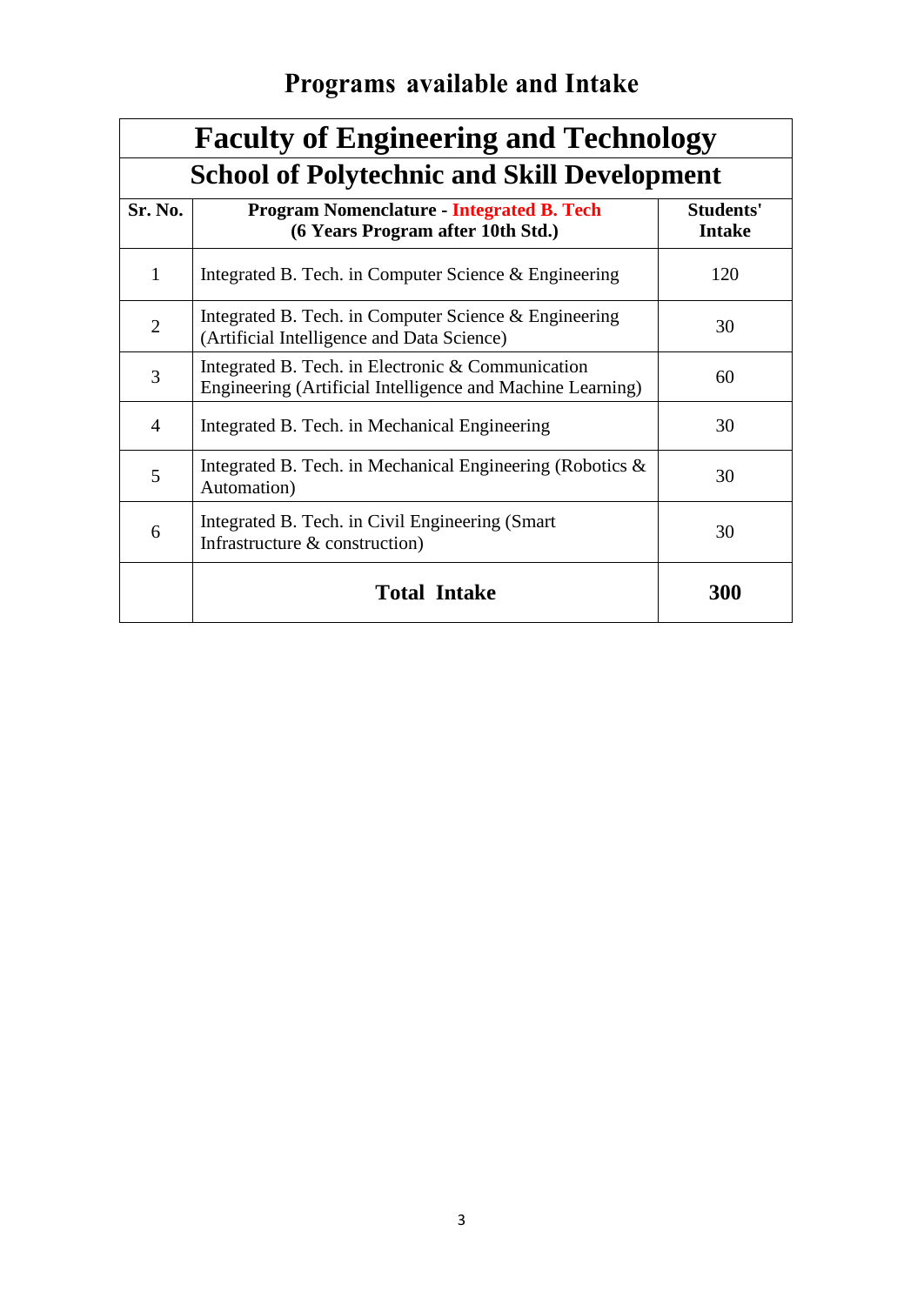## **Programs available and Intake**

| <b>Faculty of Engineering and Technology</b> |                                                                                                                 |                            |  |
|----------------------------------------------|-----------------------------------------------------------------------------------------------------------------|----------------------------|--|
|                                              | <b>School of Polytechnic and Skill Development</b>                                                              |                            |  |
| Sr. No.                                      | <b>Program Nomenclature - Integrated B. Tech</b><br>(6 Years Program after 10th Std.)                           | Students'<br><b>Intake</b> |  |
| $\mathbf{1}$                                 | Integrated B. Tech. in Computer Science $\&$ Engineering                                                        | 120                        |  |
| $\overline{2}$                               | Integrated B. Tech. in Computer Science $\&$ Engineering<br>(Artificial Intelligence and Data Science)          | 30                         |  |
| 3                                            | Integrated B. Tech. in Electronic & Communication<br>Engineering (Artificial Intelligence and Machine Learning) | 60                         |  |
| 4                                            | Integrated B. Tech. in Mechanical Engineering                                                                   | 30                         |  |
| 5                                            | Integrated B. Tech. in Mechanical Engineering (Robotics $\&$<br>Automation)                                     | 30                         |  |
| 6                                            | Integrated B. Tech. in Civil Engineering (Smart)<br>Infrastructure & construction)                              | 30                         |  |
|                                              | <b>Total Intake</b>                                                                                             | 300                        |  |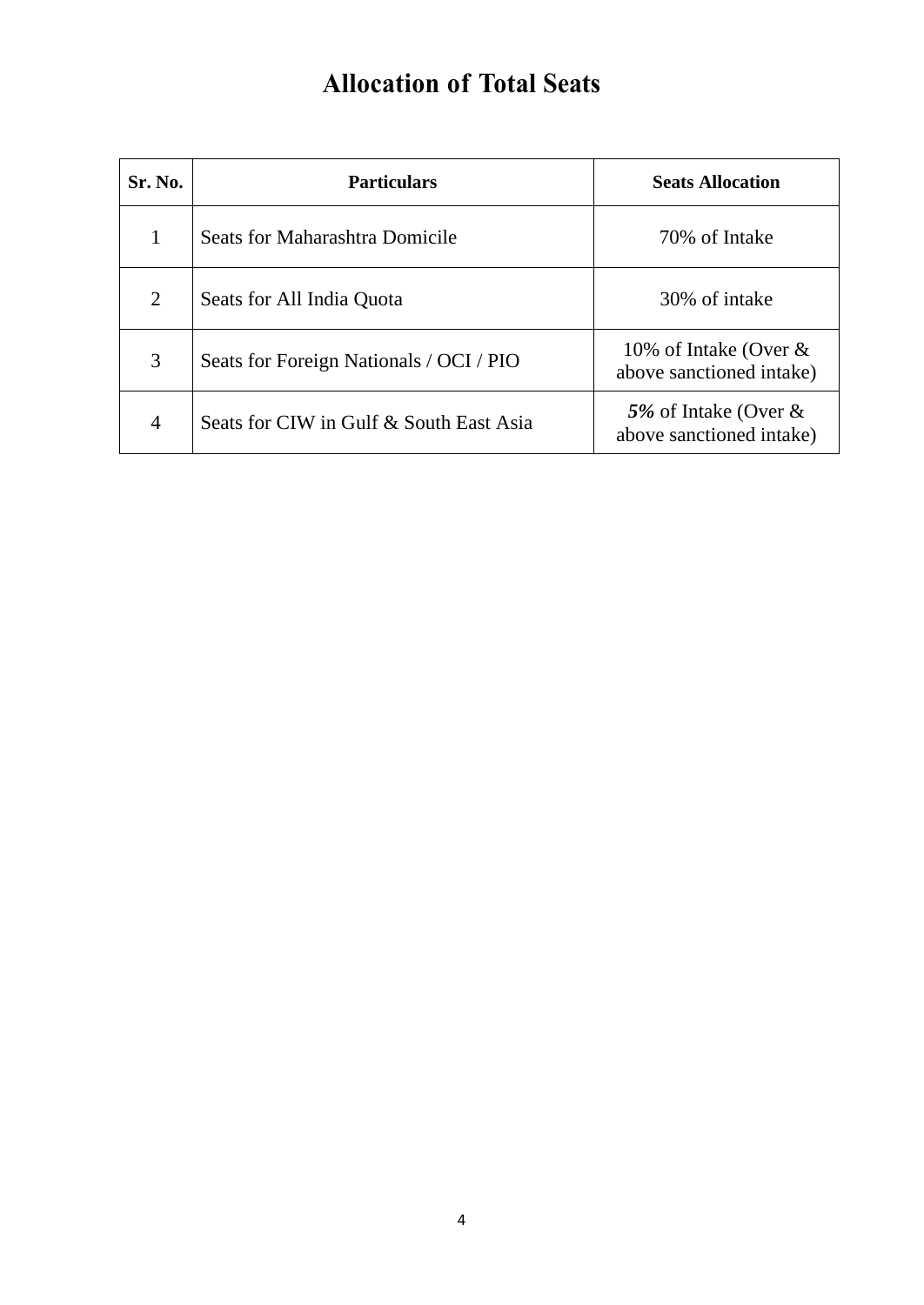### **Allocation of Total Seats**

| Sr. No. | <b>Particulars</b>                      | <b>Seats Allocation</b>                              |
|---------|-----------------------------------------|------------------------------------------------------|
|         | Seats for Maharashtra Domicile          | 70% of Intake                                        |
| 2       | Seats for All India Quota               | 30% of intake                                        |
| 3       | Seats for Foreign Nationals / OCI / PIO | 10% of Intake (Over $\&$<br>above sanctioned intake) |
| 4       | Seats for CIW in Gulf & South East Asia | 5% of Intake (Over $\&$<br>above sanctioned intake)  |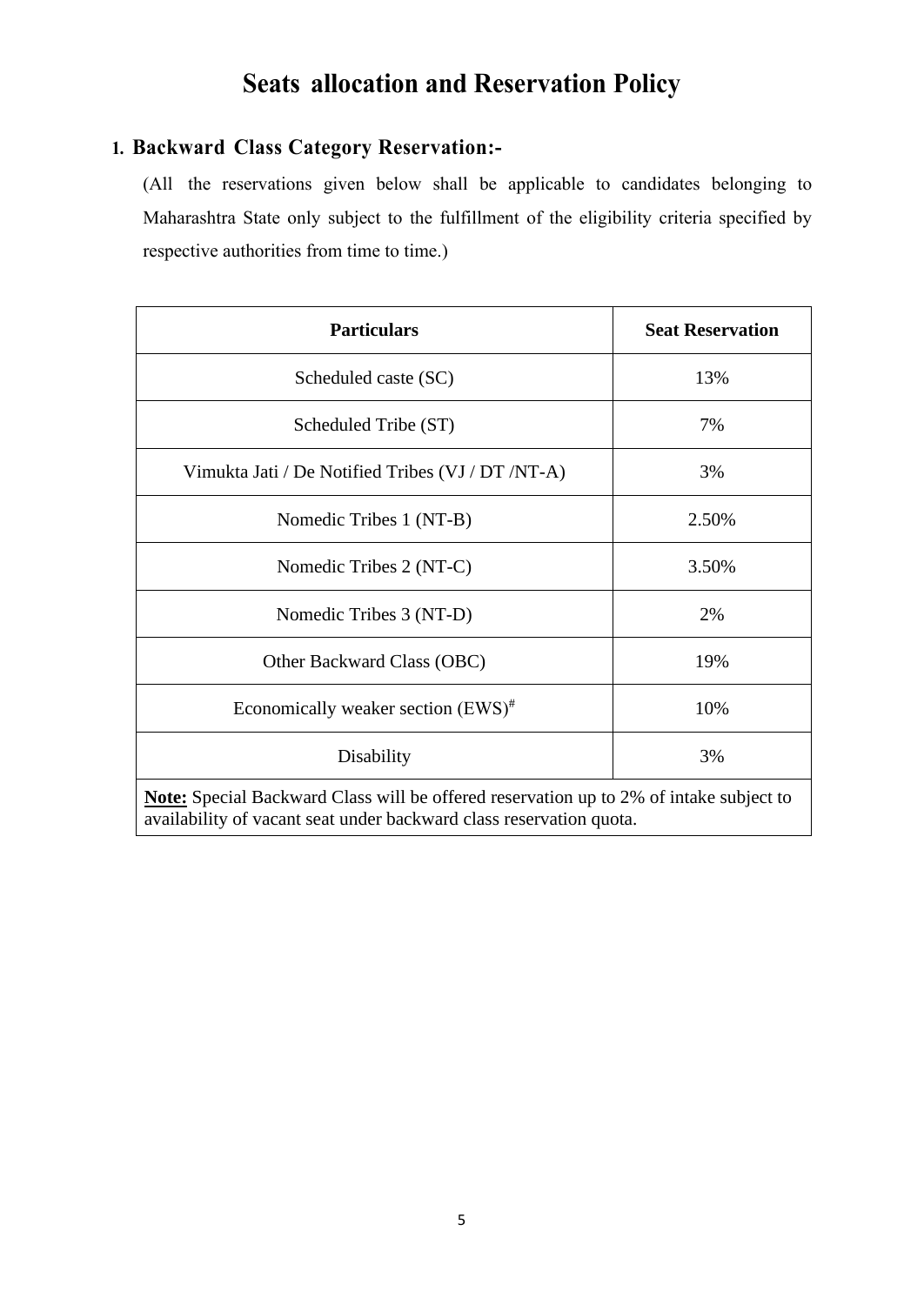### **Seats allocation and Reservation Policy**

#### **1. Backward Class Category Reservation:-**

(All the reservations given below shall be applicable to candidates belonging to Maharashtra State only subject to the fulfillment of the eligibility criteria specified by respective authorities from time to time.)

| <b>Particulars</b>                                                                                                                                                   | <b>Seat Reservation</b> |  |
|----------------------------------------------------------------------------------------------------------------------------------------------------------------------|-------------------------|--|
| Scheduled caste (SC)                                                                                                                                                 | 13%                     |  |
| Scheduled Tribe (ST)                                                                                                                                                 | 7%                      |  |
| Vimukta Jati / De Notified Tribes (VJ / DT /NT-A)                                                                                                                    | 3%                      |  |
| Nomedic Tribes 1 (NT-B)                                                                                                                                              | 2.50%                   |  |
| Nomedic Tribes 2 (NT-C)                                                                                                                                              | 3.50%                   |  |
| Nomedic Tribes 3 (NT-D)                                                                                                                                              | 2%                      |  |
| Other Backward Class (OBC)                                                                                                                                           | 19%                     |  |
| Economically weaker section $(EWS)^{#}$                                                                                                                              | 10%                     |  |
| Disability                                                                                                                                                           | 3%                      |  |
| <b>Note:</b> Special Backward Class will be offered reservation up to 2% of intake subject to<br>availability of vacant seat under backward class reservation quota. |                         |  |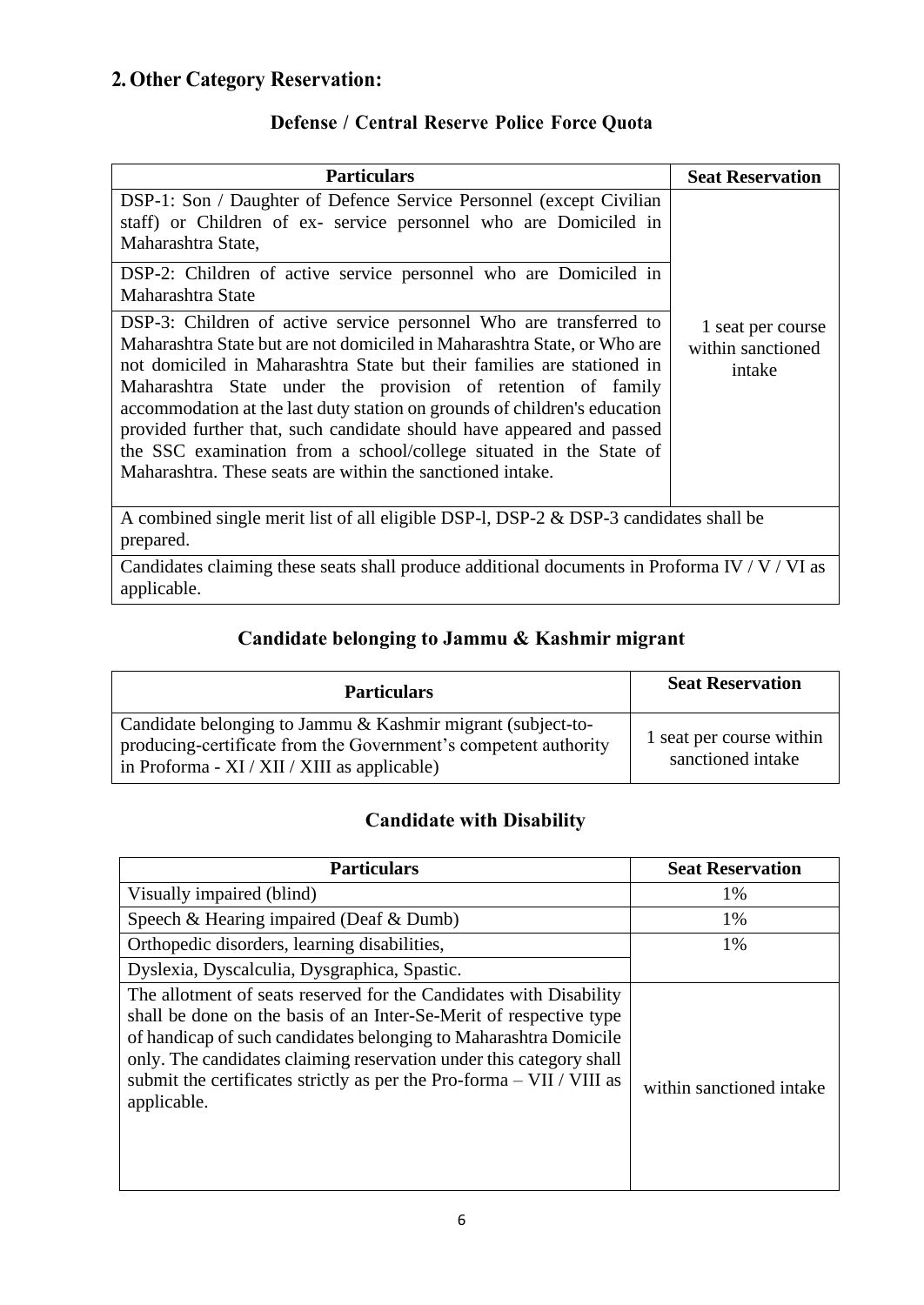### **2. Other Category Reservation:**

#### **Defense / Central Reserve Police Force Quota**

| <b>Particulars</b>                                                                                                                                                                                                                                                                                                                                                                                                                                                                                                                                                                                                                                                                                                                                                                                                                           | <b>Seat Reservation</b>                          |
|----------------------------------------------------------------------------------------------------------------------------------------------------------------------------------------------------------------------------------------------------------------------------------------------------------------------------------------------------------------------------------------------------------------------------------------------------------------------------------------------------------------------------------------------------------------------------------------------------------------------------------------------------------------------------------------------------------------------------------------------------------------------------------------------------------------------------------------------|--------------------------------------------------|
| DSP-1: Son / Daughter of Defence Service Personnel (except Civilian<br>staff) or Children of ex- service personnel who are Domiciled in<br>Maharashtra State,<br>DSP-2: Children of active service personnel who are Domiciled in<br>Maharashtra State<br>DSP-3: Children of active service personnel Who are transferred to<br>Maharashtra State but are not domiciled in Maharashtra State, or Who are<br>not domiciled in Maharashtra State but their families are stationed in<br>Maharashtra State under the provision of retention of family<br>accommodation at the last duty station on grounds of children's education<br>provided further that, such candidate should have appeared and passed<br>the SSC examination from a school/college situated in the State of<br>Maharashtra. These seats are within the sanctioned intake. | 1 seat per course<br>within sanctioned<br>intake |
|                                                                                                                                                                                                                                                                                                                                                                                                                                                                                                                                                                                                                                                                                                                                                                                                                                              |                                                  |
| A combined single merit list of all eligible DSP-1, DSP-2 & DSP-3 candidates shall be<br>prepared.                                                                                                                                                                                                                                                                                                                                                                                                                                                                                                                                                                                                                                                                                                                                           |                                                  |
| Candidates claiming these seats shall produce additional documents in Proforma IV / $V$ / VI as<br>applicable.                                                                                                                                                                                                                                                                                                                                                                                                                                                                                                                                                                                                                                                                                                                               |                                                  |

#### **Candidate belonging to Jammu & Kashmir migrant**

| <b>Particulars</b>                                                                                                                                                             | <b>Seat Reservation</b>                       |
|--------------------------------------------------------------------------------------------------------------------------------------------------------------------------------|-----------------------------------------------|
| Candidate belonging to Jammu & Kashmir migrant (subject-to-<br>producing-certificate from the Government's competent authority<br>in Proforma - XI / XII / XIII as applicable) | 1 seat per course within<br>sanctioned intake |

#### **Candidate with Disability**

| <b>Particulars</b>                                                                                                                                                                                                                                                                                                                                                          | <b>Seat Reservation</b>  |
|-----------------------------------------------------------------------------------------------------------------------------------------------------------------------------------------------------------------------------------------------------------------------------------------------------------------------------------------------------------------------------|--------------------------|
| Visually impaired (blind)                                                                                                                                                                                                                                                                                                                                                   | 1%                       |
| Speech & Hearing impaired (Deaf & Dumb)                                                                                                                                                                                                                                                                                                                                     | 1%                       |
| Orthopedic disorders, learning disabilities,                                                                                                                                                                                                                                                                                                                                | 1%                       |
| Dyslexia, Dyscalculia, Dysgraphica, Spastic.                                                                                                                                                                                                                                                                                                                                |                          |
| The allotment of seats reserved for the Candidates with Disability<br>shall be done on the basis of an Inter-Se-Merit of respective type<br>of handicap of such candidates belonging to Maharashtra Domicile<br>only. The candidates claiming reservation under this category shall<br>submit the certificates strictly as per the Pro-forma - VII / VIII as<br>applicable. | within sanctioned intake |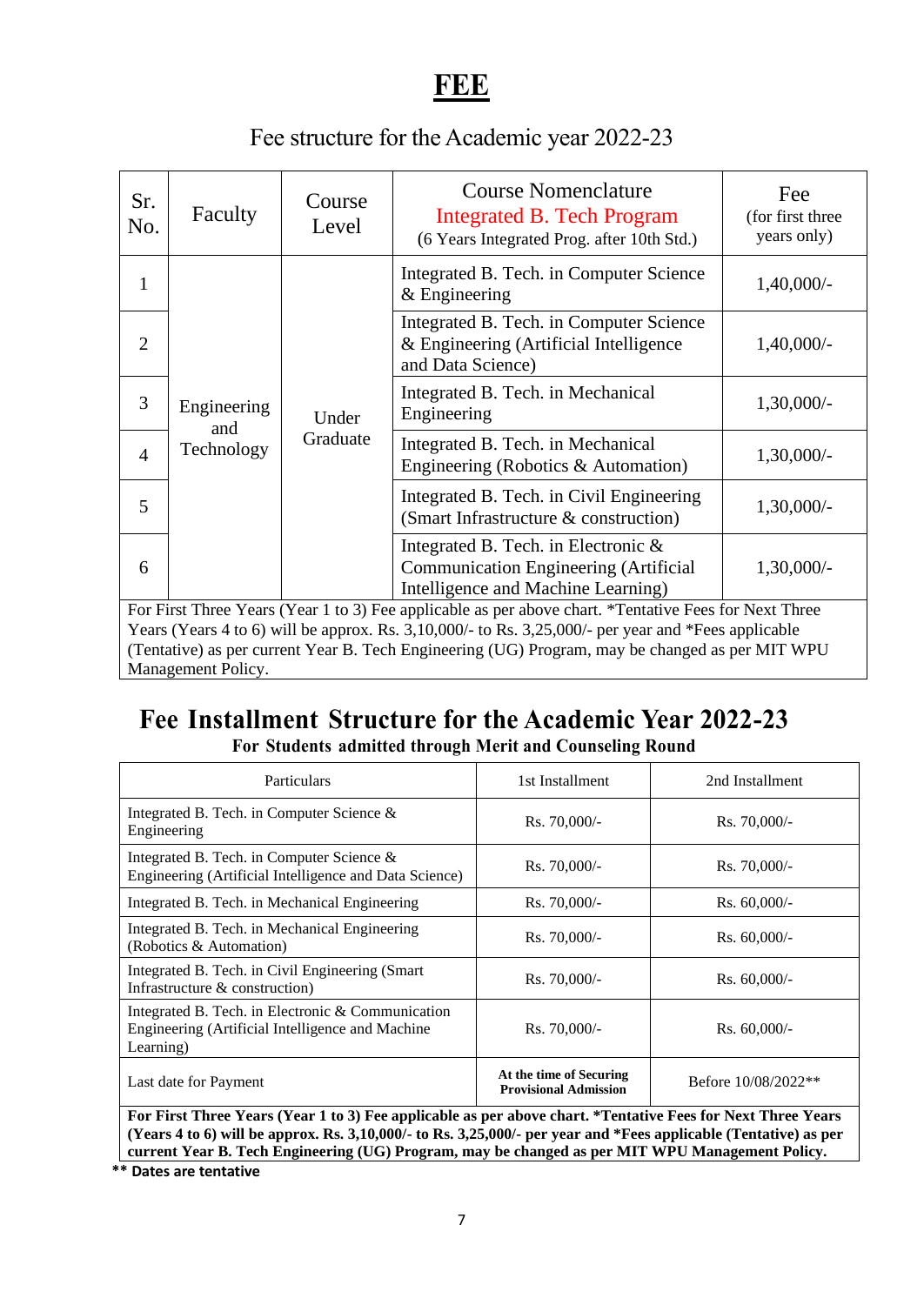### **FEE**

### Fee structure for the Academic year 2022-23

| Sr.<br>No.                                                                                            | Faculty                                                                                                                                                                                                                                                                                                                                                                                                                                   | Course<br>Level                                                                                                              | <b>Course Nomenclature</b><br><b>Integrated B. Tech Program</b><br>(6 Years Integrated Prog. after 10th Std.) | Fee<br>(for first three<br>years only) |  |
|-------------------------------------------------------------------------------------------------------|-------------------------------------------------------------------------------------------------------------------------------------------------------------------------------------------------------------------------------------------------------------------------------------------------------------------------------------------------------------------------------------------------------------------------------------------|------------------------------------------------------------------------------------------------------------------------------|---------------------------------------------------------------------------------------------------------------|----------------------------------------|--|
| 1                                                                                                     |                                                                                                                                                                                                                                                                                                                                                                                                                                           |                                                                                                                              | Integrated B. Tech. in Computer Science<br>$&$ Engineering                                                    | $1,40,000/-$                           |  |
| $\overline{2}$                                                                                        |                                                                                                                                                                                                                                                                                                                                                                                                                                           |                                                                                                                              | Integrated B. Tech. in Computer Science<br>& Engineering (Artificial Intelligence<br>and Data Science)        | $1,40,000/-$                           |  |
| 3                                                                                                     | Engineering                                                                                                                                                                                                                                                                                                                                                                                                                               | Under                                                                                                                        | Integrated B. Tech. in Mechanical<br>Engineering                                                              | $1,30,000/-$                           |  |
| $\overline{4}$                                                                                        | and<br>Graduate<br>Technology                                                                                                                                                                                                                                                                                                                                                                                                             |                                                                                                                              | Integrated B. Tech. in Mechanical<br>Engineering (Robotics & Automation)                                      | $1,30,000/-$                           |  |
| 5                                                                                                     |                                                                                                                                                                                                                                                                                                                                                                                                                                           |                                                                                                                              | Integrated B. Tech. in Civil Engineering<br>(Smart Infrastructure & construction)                             | $1,30,000/-$                           |  |
| 6                                                                                                     |                                                                                                                                                                                                                                                                                                                                                                                                                                           | Integrated B. Tech. in Electronic $\&$<br><b>Communication Engineering (Artificial</b><br>Intelligence and Machine Learning) |                                                                                                               | $1,30,000/-$                           |  |
| For First Three Years (Year 1 to 3) Fee applicable as per above chart. *Tentative Fees for Next Three |                                                                                                                                                                                                                                                                                                                                                                                                                                           |                                                                                                                              |                                                                                                               |                                        |  |
|                                                                                                       | Years (Years 4 to 6) will be approx. Rs. 3,10,000/- to Rs. 3,25,000/- per year and *Fees applicable<br>$\mathbf{M}$ $\mathbf{M}$ $\mathbf{M}$ $\mathbf{M}$ $\mathbf{M}$ $\mathbf{M}$ $\mathbf{M}$ $\mathbf{M}$ $\mathbf{M}$ $\mathbf{M}$ $\mathbf{M}$ $\mathbf{M}$ $\mathbf{M}$ $\mathbf{M}$ $\mathbf{M}$ $\mathbf{M}$ $\mathbf{M}$ $\mathbf{M}$ $\mathbf{M}$ $\mathbf{M}$ $\mathbf{M}$ $\mathbf{M}$ $\mathbf{M}$ $\mathbf{M}$ $\mathbf{$ |                                                                                                                              |                                                                                                               |                                        |  |

(Tentative) as per current Year B. Tech Engineering (UG) Program, may be changed as per MIT WPU Management Policy.

#### **Fee Installment Structure for the Academic Year 2022-23 For Students admitted through Merit and Counseling Round**

| <b>Particulars</b>                                                                                                 | 1st Installment                                         | 2nd Installment     |
|--------------------------------------------------------------------------------------------------------------------|---------------------------------------------------------|---------------------|
| Integrated B. Tech. in Computer Science $\&$<br>Engineering                                                        | $Rs. 70,000/-$                                          | $Rs. 70,000/-$      |
| Integrated B. Tech. in Computer Science $\&$<br>Engineering (Artificial Intelligence and Data Science)             | $Rs. 70,000/-$                                          | $Rs. 70,000/$ -     |
| Integrated B. Tech. in Mechanical Engineering                                                                      | $Rs. 70,000/-$                                          | $Rs. 60,000/$ -     |
| Integrated B. Tech. in Mechanical Engineering<br>(Robotics & Automation)                                           | $Rs. 70,000/-$                                          | $Rs. 60,000/$ -     |
| Integrated B. Tech. in Civil Engineering (Smart)<br>Infrastructure & construction)                                 | $Rs. 70,000/-$                                          | $Rs. 60,000/$ -     |
| Integrated B. Tech. in Electronic & Communication<br>Engineering (Artificial Intelligence and Machine<br>Learning) | $Rs. 70,000/-$                                          | $Rs. 60,000/$ -     |
| Last date for Payment                                                                                              | At the time of Securing<br><b>Provisional Admission</b> | Before 10/08/2022** |

**For First Three Years (Year 1 to 3) Fee applicable as per above chart. \*Tentative Fees for Next Three Years (Years 4 to 6) will be approx. Rs. 3,10,000/- to Rs. 3,25,000/- per year and \*Fees applicable (Tentative) as per current Year B. Tech Engineering (UG) Program, may be changed as per MIT WPU Management Policy.**

**\*\* Dates are tentative**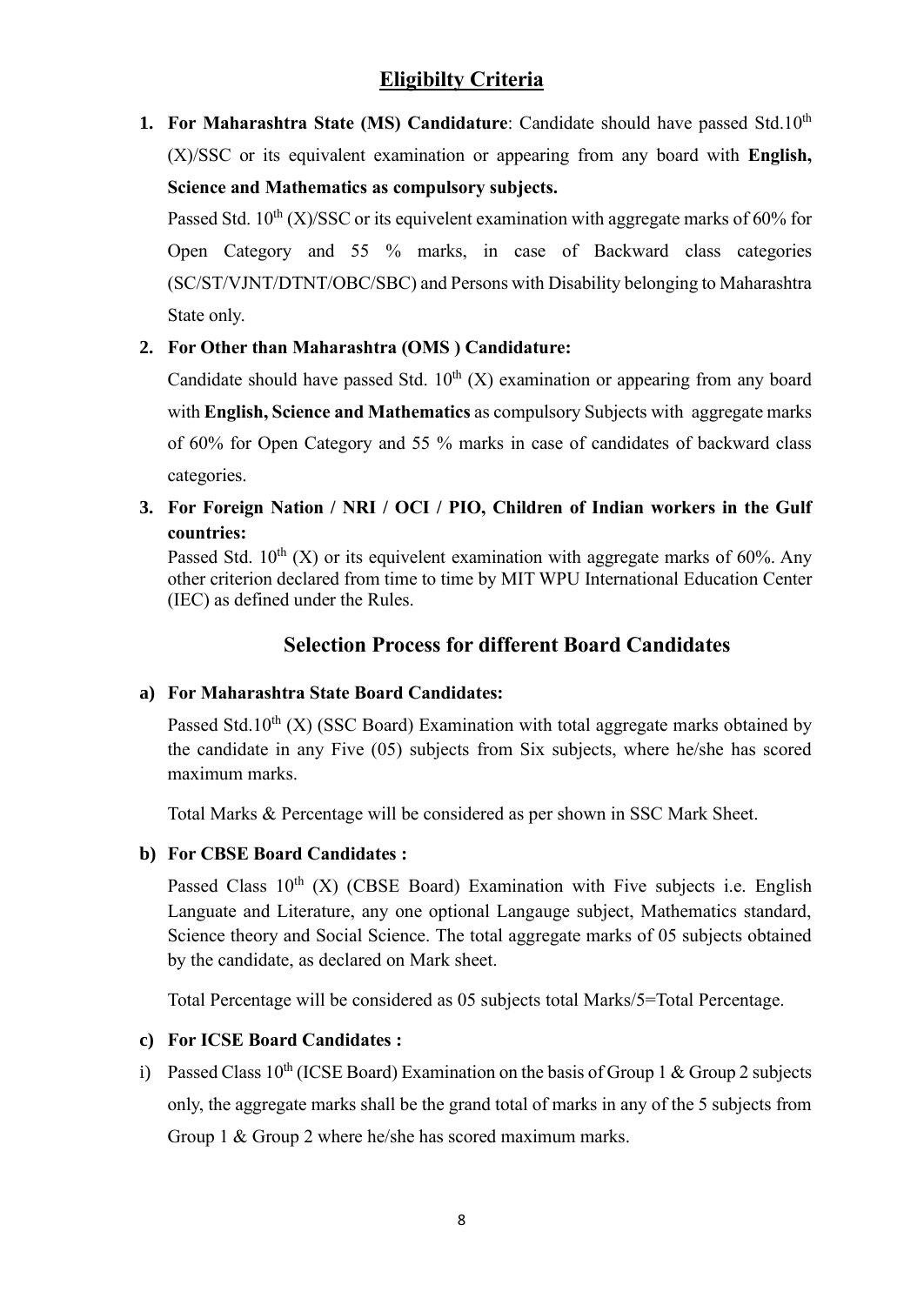#### **Eligibilty Criteria**

**1. For Maharashtra State (MS) Candidature**: Candidate should have passed Std.10<sup>th</sup> (X)/SSC or its equivalent examination or appearing from any board with **English, Science and Mathematics as compulsory subjects.**

Passed Std.  $10^{th}$  (X)/SSC or its equivelent examination with aggregate marks of 60% for Open Category and 55 % marks, in case of Backward class categories (SC/ST/VJNT/DTNT/OBC/SBC) and Persons with Disability belonging to Maharashtra State only.

#### **2. For Other than Maharashtra (OMS ) Candidature:**

Candidate should have passed Std.  $10^{th}$  (X) examination or appearing from any board with **English, Science and Mathematics** as compulsory Subjects with aggregate marks of 60% for Open Category and 55 % marks in case of candidates of backward class categories.

**3. For Foreign Nation / NRI / OCI / PIO, Children of Indian workers in the Gulf countries:** 

Passed Std.  $10^{th}$  (X) or its equivelent examination with aggregate marks of 60%. Any other criterion declared from time to time by MIT WPU International Education Center (IEC) as defined under the Rules.

#### **Selection Process for different Board Candidates**

#### **a) For Maharashtra State Board Candidates:**

Passed Std.10<sup>th</sup> (X) (SSC Board) Examination with total aggregate marks obtained by the candidate in any Five (05) subjects from Six subjects, where he/she has scored maximum marks.

Total Marks & Percentage will be considered as per shown in SSC Mark Sheet.

#### **b) For CBSE Board Candidates :**

Passed Class  $10<sup>th</sup>$  (X) (CBSE Board) Examination with Five subjects i.e. English Languate and Literature, any one optional Langauge subject, Mathematics standard, Science theory and Social Science. The total aggregate marks of 05 subjects obtained by the candidate, as declared on Mark sheet.

Total Percentage will be considered as 05 subjects total Marks/5=Total Percentage.

#### **c) For ICSE Board Candidates :**

i) Passed Class  $10^{th}$  (ICSE Board) Examination on the basis of Group 1 & Group 2 subjects only, the aggregate marks shall be the grand total of marks in any of the 5 subjects from Group 1 & Group 2 where he/she has scored maximum marks.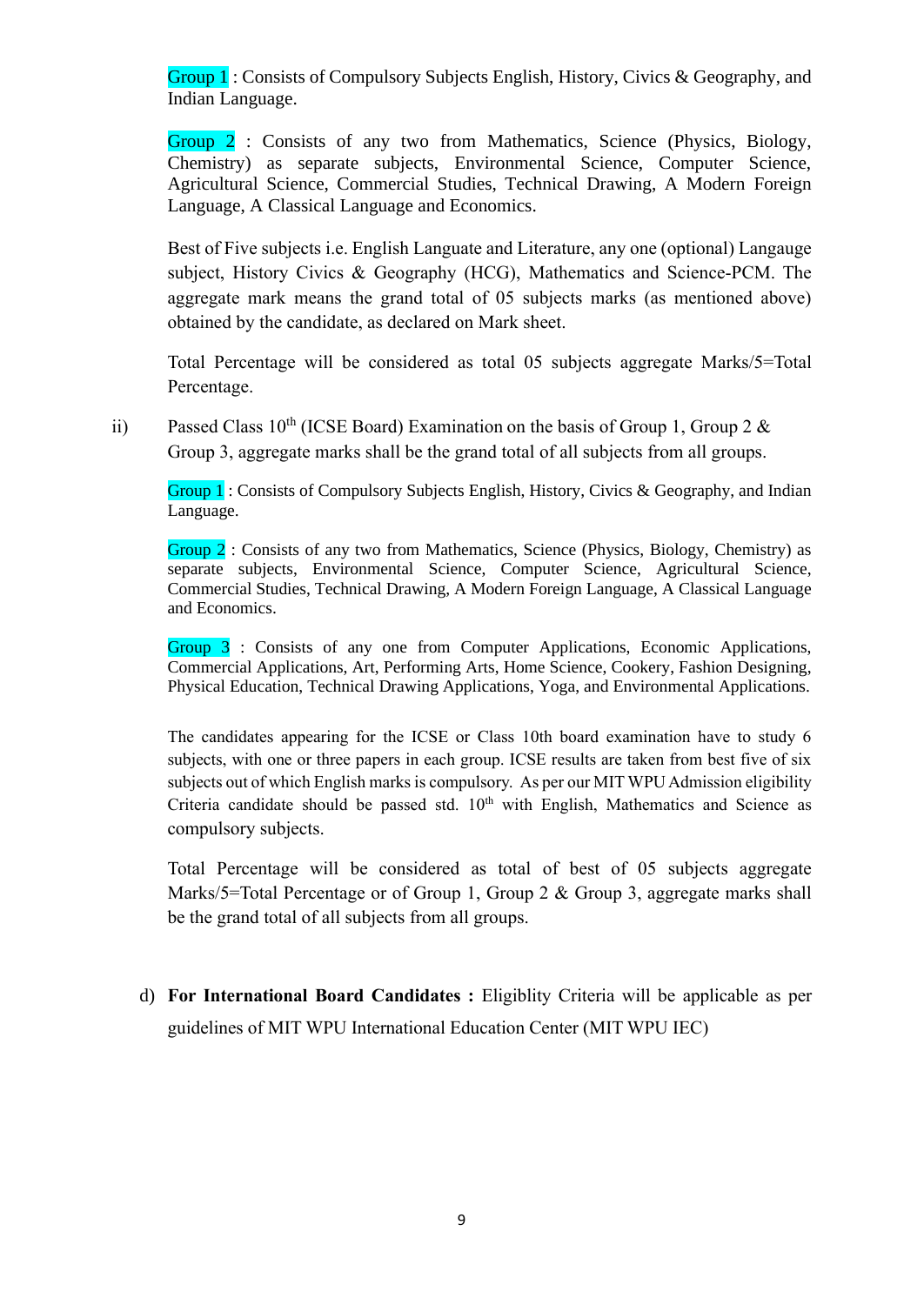Group 1 : Consists of Compulsory Subjects English, History, Civics & Geography, and Indian Language.

Group 2 : Consists of any two from Mathematics, Science (Physics, Biology, Chemistry) as separate subjects, Environmental Science, Computer Science, Agricultural Science, Commercial Studies, Technical Drawing, A Modern Foreign Language, A Classical Language and Economics.

Best of Five subjects i.e. English Languate and Literature, any one (optional) Langauge subject, History Civics & Geography (HCG), Mathematics and Science-PCM. The aggregate mark means the grand total of 05 subjects marks (as mentioned above) obtained by the candidate, as declared on Mark sheet.

Total Percentage will be considered as total 05 subjects aggregate Marks/5=Total Percentage.

ii) Passed Class  $10^{th}$  (ICSE Board) Examination on the basis of Group 1, Group 2 & Group 3, aggregate marks shall be the grand total of all subjects from all groups.

Group 1 : Consists of Compulsory Subjects English, History, Civics & Geography, and Indian Language.

Group 2 : Consists of any two from Mathematics, Science (Physics, Biology, Chemistry) as separate subjects, Environmental Science, Computer Science, Agricultural Science, Commercial Studies, Technical Drawing, A Modern Foreign Language, A Classical Language and Economics.

Group 3 : Consists of any one from Computer Applications, Economic Applications, Commercial Applications, Art, Performing Arts, Home Science, Cookery, Fashion Designing, Physical Education, Technical Drawing Applications, Yoga, and Environmental Applications.

The candidates appearing for the ICSE or Class 10th board examination have to study 6 subjects, with one or three papers in each group. ICSE results are taken from best five of six subjects out of which English marks is compulsory. As per our MIT WPU Admission eligibility Criteria candidate should be passed std.  $10<sup>th</sup>$  with English, Mathematics and Science as compulsory subjects.

Total Percentage will be considered as total of best of 05 subjects aggregate Marks/5=Total Percentage or of Group 1, Group 2 & Group 3, aggregate marks shall be the grand total of all subjects from all groups.

d) **For International Board Candidates :** Eligiblity Criteria will be applicable as per guidelines of MIT WPU International Education Center (MIT WPU IEC)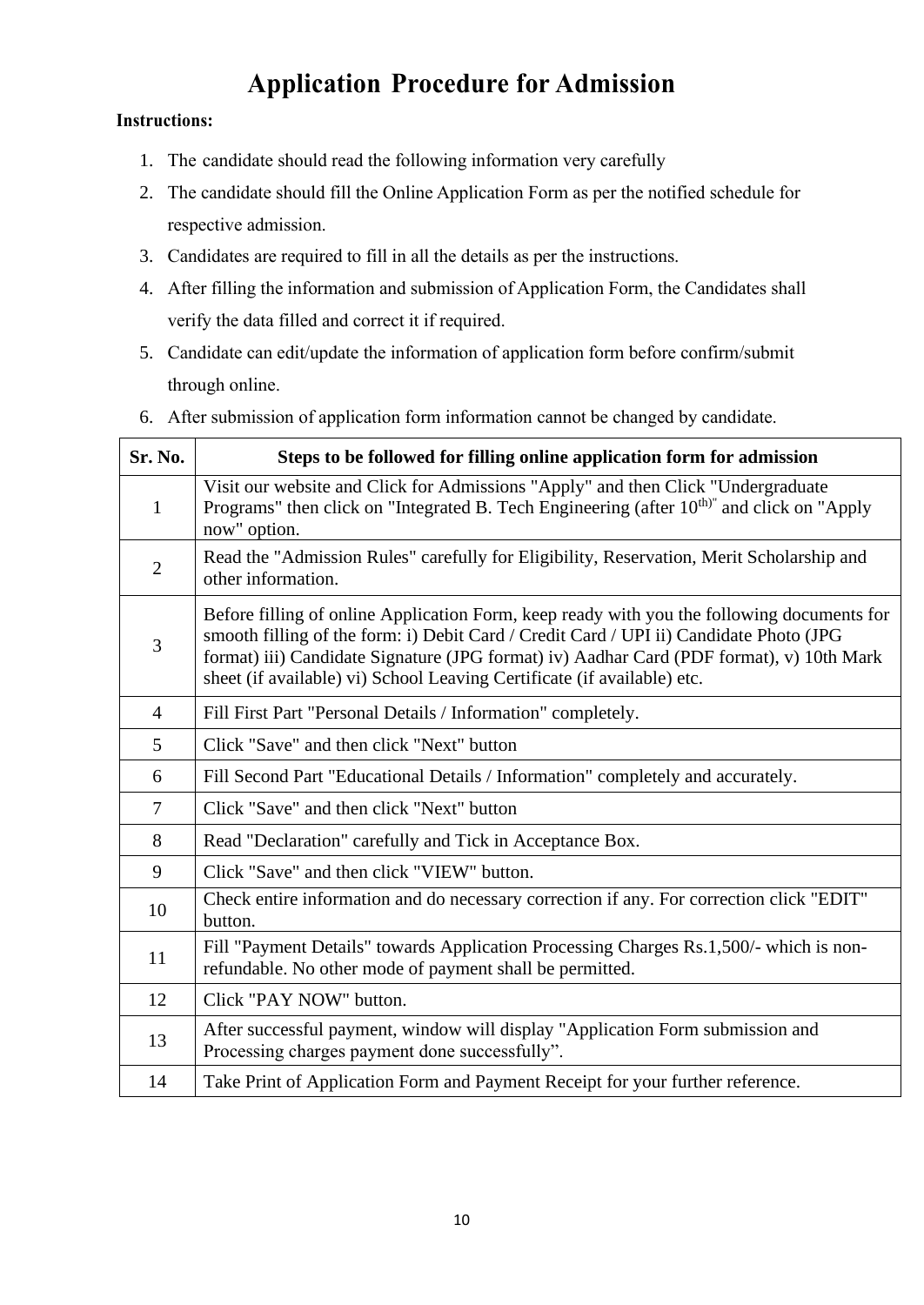### **Application Procedure for Admission**

#### **Instructions:**

- 1. The candidate should read the following information very carefully
- 2. The candidate should fill the Online Application Form as per the notified schedule for respective admission.
- 3. Candidates are required to fill in all the details as per the instructions.
- 4. After filling the information and submission of Application Form, the Candidates shall verify the data filled and correct it if required.
- 5. Candidate can edit/update the information of application form before confirm/submit through online.

|  |  | 6. After submission of application form information cannot be changed by candidate. |  |
|--|--|-------------------------------------------------------------------------------------|--|

| Sr. No.        | Steps to be followed for filling online application form for admission                                                                                                                                                                                                                                                                                      |  |  |  |
|----------------|-------------------------------------------------------------------------------------------------------------------------------------------------------------------------------------------------------------------------------------------------------------------------------------------------------------------------------------------------------------|--|--|--|
| $\mathbf{1}$   | Visit our website and Click for Admissions "Apply" and then Click "Undergraduate<br>Programs" then click on "Integrated B. Tech Engineering (after 10 <sup>th)"</sup> and click on "Apply<br>now" option.                                                                                                                                                   |  |  |  |
| $\overline{2}$ | Read the "Admission Rules" carefully for Eligibility, Reservation, Merit Scholarship and<br>other information.                                                                                                                                                                                                                                              |  |  |  |
| 3              | Before filling of online Application Form, keep ready with you the following documents for<br>smooth filling of the form: i) Debit Card / Credit Card / UPI ii) Candidate Photo (JPG<br>format) iii) Candidate Signature (JPG format) iv) Aadhar Card (PDF format), v) 10th Mark<br>sheet (if available) vi) School Leaving Certificate (if available) etc. |  |  |  |
| $\overline{4}$ | Fill First Part "Personal Details / Information" completely.                                                                                                                                                                                                                                                                                                |  |  |  |
| 5              | Click "Save" and then click "Next" button                                                                                                                                                                                                                                                                                                                   |  |  |  |
| 6              | Fill Second Part "Educational Details / Information" completely and accurately.                                                                                                                                                                                                                                                                             |  |  |  |
| $\tau$         | Click "Save" and then click "Next" button                                                                                                                                                                                                                                                                                                                   |  |  |  |
| 8              | Read "Declaration" carefully and Tick in Acceptance Box.                                                                                                                                                                                                                                                                                                    |  |  |  |
| 9              | Click "Save" and then click "VIEW" button.                                                                                                                                                                                                                                                                                                                  |  |  |  |
| 10             | Check entire information and do necessary correction if any. For correction click "EDIT"<br>button.                                                                                                                                                                                                                                                         |  |  |  |
| 11             | Fill "Payment Details" towards Application Processing Charges Rs.1,500/- which is non-<br>refundable. No other mode of payment shall be permitted.                                                                                                                                                                                                          |  |  |  |
| 12             | Click "PAY NOW" button.                                                                                                                                                                                                                                                                                                                                     |  |  |  |
| 13             | After successful payment, window will display "Application Form submission and<br>Processing charges payment done successfully".                                                                                                                                                                                                                            |  |  |  |
| 14             | Take Print of Application Form and Payment Receipt for your further reference.                                                                                                                                                                                                                                                                              |  |  |  |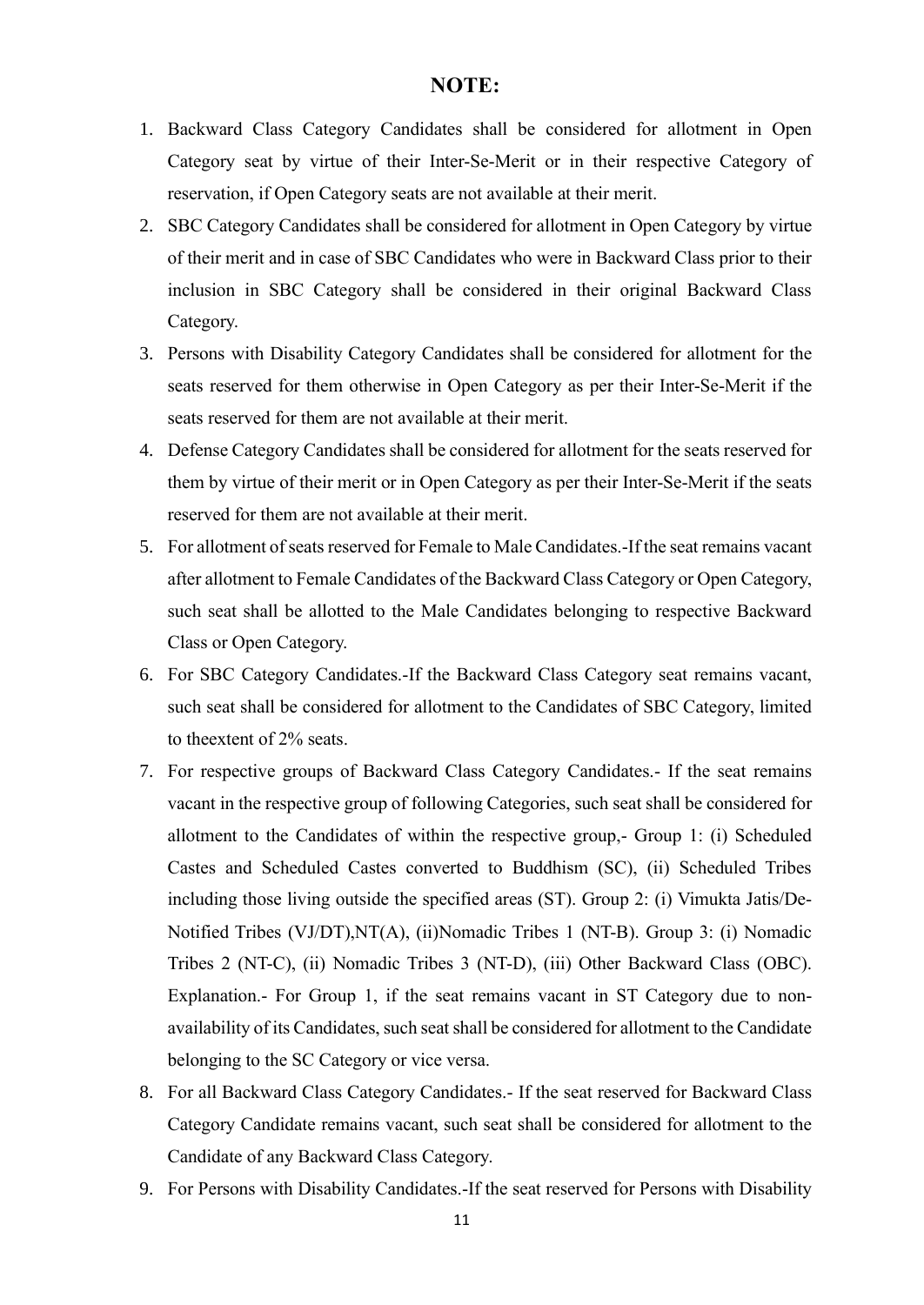#### **NOTE:**

- 1. Backward Class Category Candidates shall be considered for allotment in Open Category seat by virtue of their Inter-Se-Merit or in their respective Category of reservation, if Open Category seats are not available at their merit.
- 2. SBC Category Candidates shall be considered for allotment in Open Category by virtue of their merit and in case of SBC Candidates who were in Backward Class prior to their inclusion in SBC Category shall be considered in their original Backward Class Category.
- 3. Persons with Disability Category Candidates shall be considered for allotment for the seats reserved for them otherwise in Open Category as per their Inter-Se-Merit if the seats reserved for them are not available at their merit.
- 4. Defense Category Candidates shall be considered for allotment for the seats reserved for them by virtue of their merit or in Open Category as per their Inter-Se-Merit if the seats reserved for them are not available at their merit.
- 5. For allotment of seats reserved for Female to Male Candidates.-If the seat remains vacant after allotment to Female Candidates of the Backward Class Category or Open Category, such seat shall be allotted to the Male Candidates belonging to respective Backward Class or Open Category.
- 6. For SBC Category Candidates.-If the Backward Class Category seat remains vacant, such seat shall be considered for allotment to the Candidates of SBC Category, limited to theextent of 2% seats.
- 7. For respective groups of Backward Class Category Candidates.- If the seat remains vacant in the respective group of following Categories, such seat shall be considered for allotment to the Candidates of within the respective group,- Group 1: (i) Scheduled Castes and Scheduled Castes converted to Buddhism (SC), (ii) Scheduled Tribes including those living outside the specified areas (ST). Group 2: (i) Vimukta Jatis/De-Notified Tribes (VJ/DT),NT(A), (ii)Nomadic Tribes 1 (NT-B). Group 3: (i) Nomadic Tribes 2 (NT-C), (ii) Nomadic Tribes 3 (NT-D), (iii) Other Backward Class (OBC). Explanation.- For Group 1, if the seat remains vacant in ST Category due to nonavailability of its Candidates, such seat shall be considered for allotment to the Candidate belonging to the SC Category or vice versa.
- 8. For all Backward Class Category Candidates.- If the seat reserved for Backward Class Category Candidate remains vacant, such seat shall be considered for allotment to the Candidate of any Backward Class Category.
- 9. For Persons with Disability Candidates.-If the seat reserved for Persons with Disability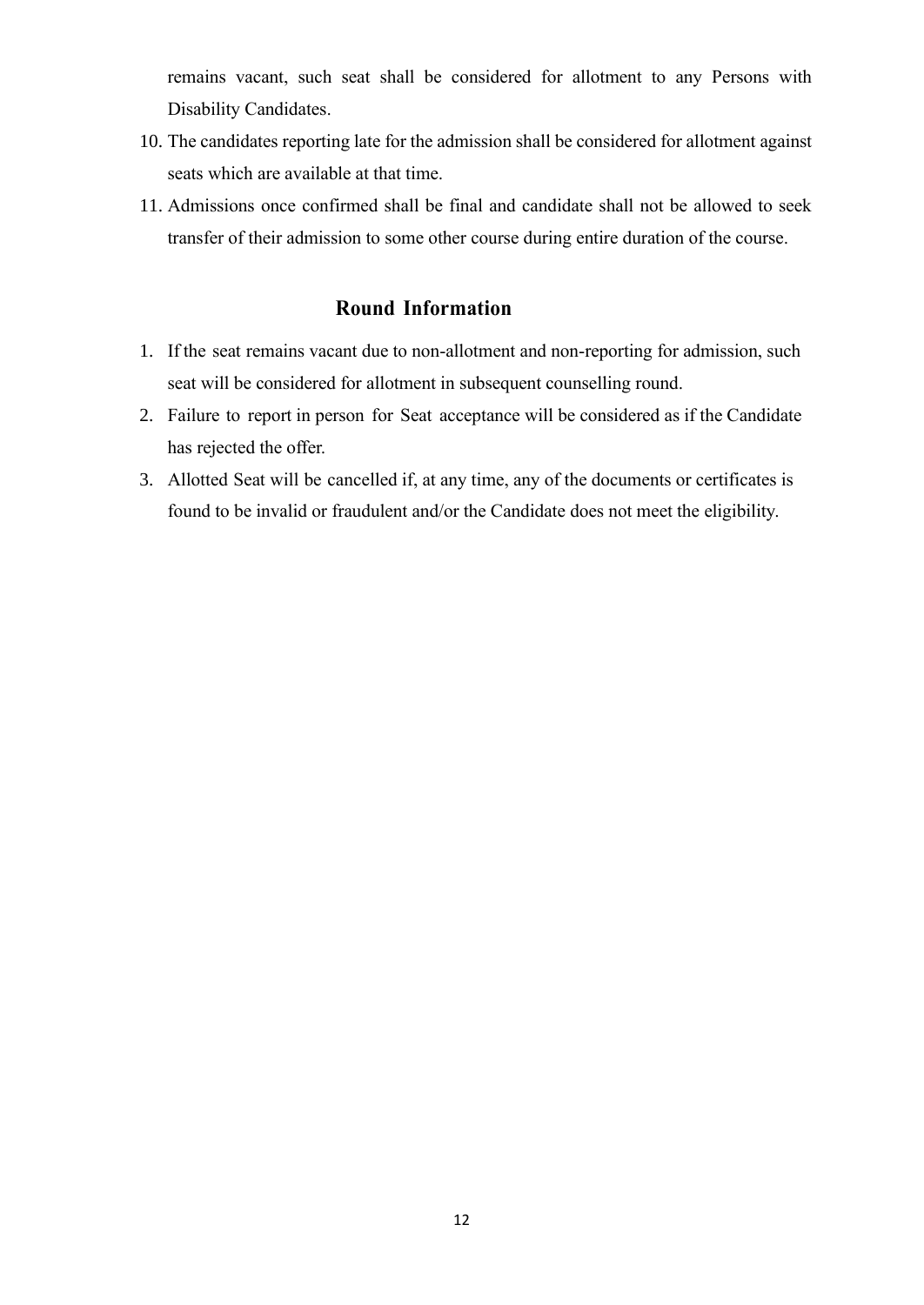remains vacant, such seat shall be considered for allotment to any Persons with Disability Candidates.

- 10. The candidates reporting late for the admission shall be considered for allotment against seats which are available at that time.
- 11. Admissions once confirmed shall be final and candidate shall not be allowed to seek transfer of their admission to some other course during entire duration of the course.

#### **Round Information**

- 1. If the seat remains vacant due to non-allotment and non-reporting for admission, such seat will be considered for allotment in subsequent counselling round.
- 2. Failure to report in person for Seat acceptance will be considered as if the Candidate has rejected the offer.
- 3. Allotted Seat will be cancelled if, at any time, any of the documents or certificates is found to be invalid or fraudulent and/or the Candidate does not meet the eligibility.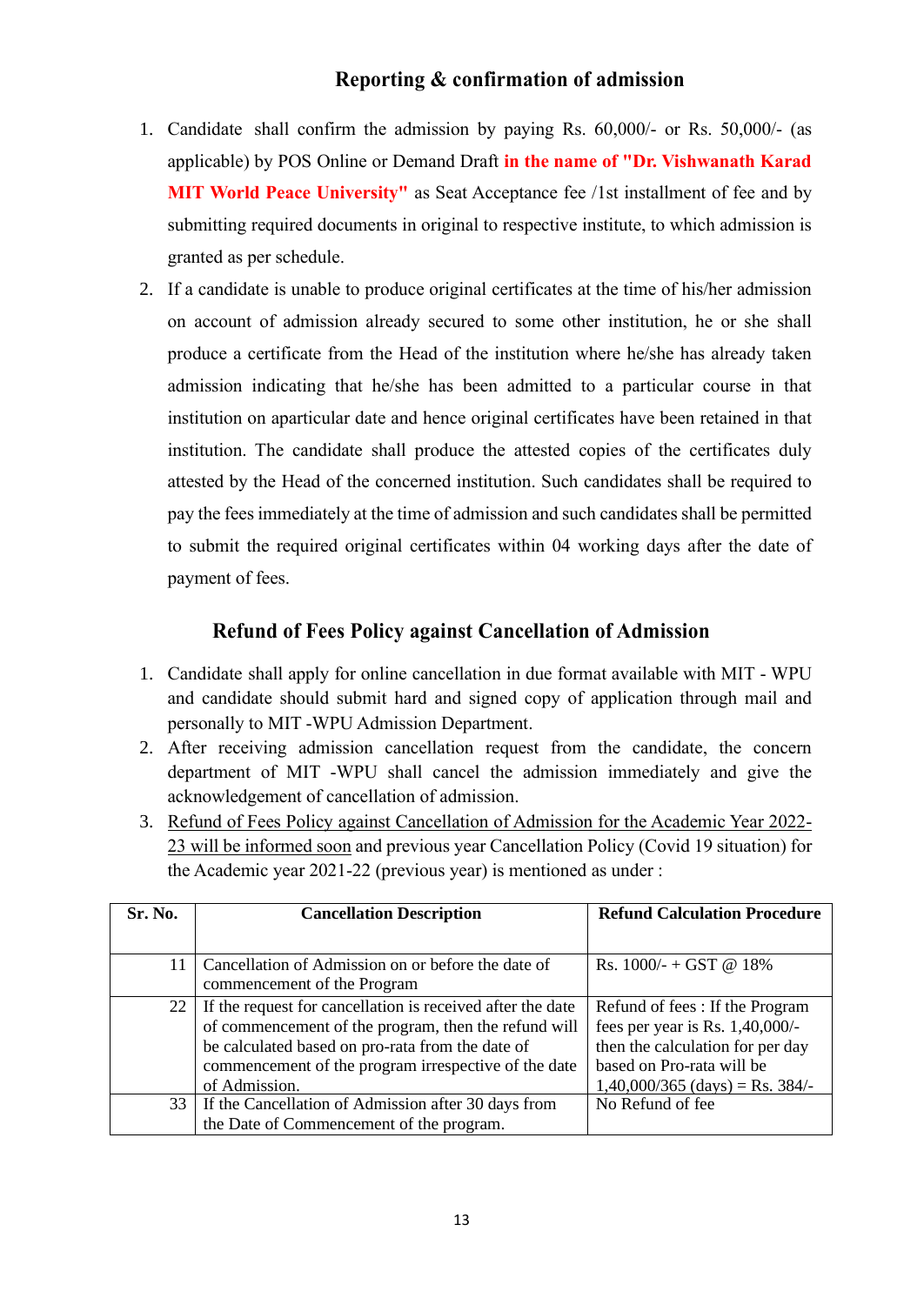#### **Reporting & confirmation of admission**

- 1. Candidate shall confirm the admission by paying Rs. 60,000/- or Rs. 50,000/- (as applicable) by POS Online or Demand Draft **in the name of "Dr. Vishwanath Karad MIT World Peace University"** as Seat Acceptance fee /1st installment of fee and by submitting required documents in original to respective institute, to which admission is granted as per schedule.
- 2. If a candidate is unable to produce original certificates at the time of his/her admission on account of admission already secured to some other institution, he or she shall produce a certificate from the Head of the institution where he/she has already taken admission indicating that he/she has been admitted to a particular course in that institution on aparticular date and hence original certificates have been retained in that institution. The candidate shall produce the attested copies of the certificates duly attested by the Head of the concerned institution. Such candidates shall be required to pay the fees immediately at the time of admission and such candidates shall be permitted to submit the required original certificates within 04 working days after the date of payment of fees.

#### **Refund of Fees Policy against Cancellation of Admission**

- 1. Candidate shall apply for online cancellation in due format available with MIT WPU and candidate should submit hard and signed copy of application through mail and personally to MIT -WPU Admission Department.
- 2. After receiving admission cancellation request from the candidate, the concern department of MIT -WPU shall cancel the admission immediately and give the acknowledgement of cancellation of admission.
- 3. Refund of Fees Policy against Cancellation of Admission for the Academic Year 2022- 23 will be informed soon and previous year Cancellation Policy (Covid 19 situation) for the Academic year 2021-22 (previous year) is mentioned as under :

| Sr. No.         | <b>Cancellation Description</b>                            | <b>Refund Calculation Procedure</b> |
|-----------------|------------------------------------------------------------|-------------------------------------|
|                 |                                                            |                                     |
| 11              | Cancellation of Admission on or before the date of         | Rs. $1000/- + GST$ @ 18%            |
|                 | commencement of the Program                                |                                     |
| 22 <sub>1</sub> | If the request for cancellation is received after the date | Refund of fees: If the Program      |
|                 | of commencement of the program, then the refund will       | fees per year is Rs. $1,40,000/$ -  |
|                 | be calculated based on pro-rata from the date of           | then the calculation for per day    |
|                 | commencement of the program irrespective of the date       | based on Pro-rata will be           |
|                 | of Admission.                                              | $1,40,000/365$ (days) = Rs. 384/-   |
|                 | 33   If the Cancellation of Admission after 30 days from   | No Refund of fee                    |
|                 | the Date of Commencement of the program.                   |                                     |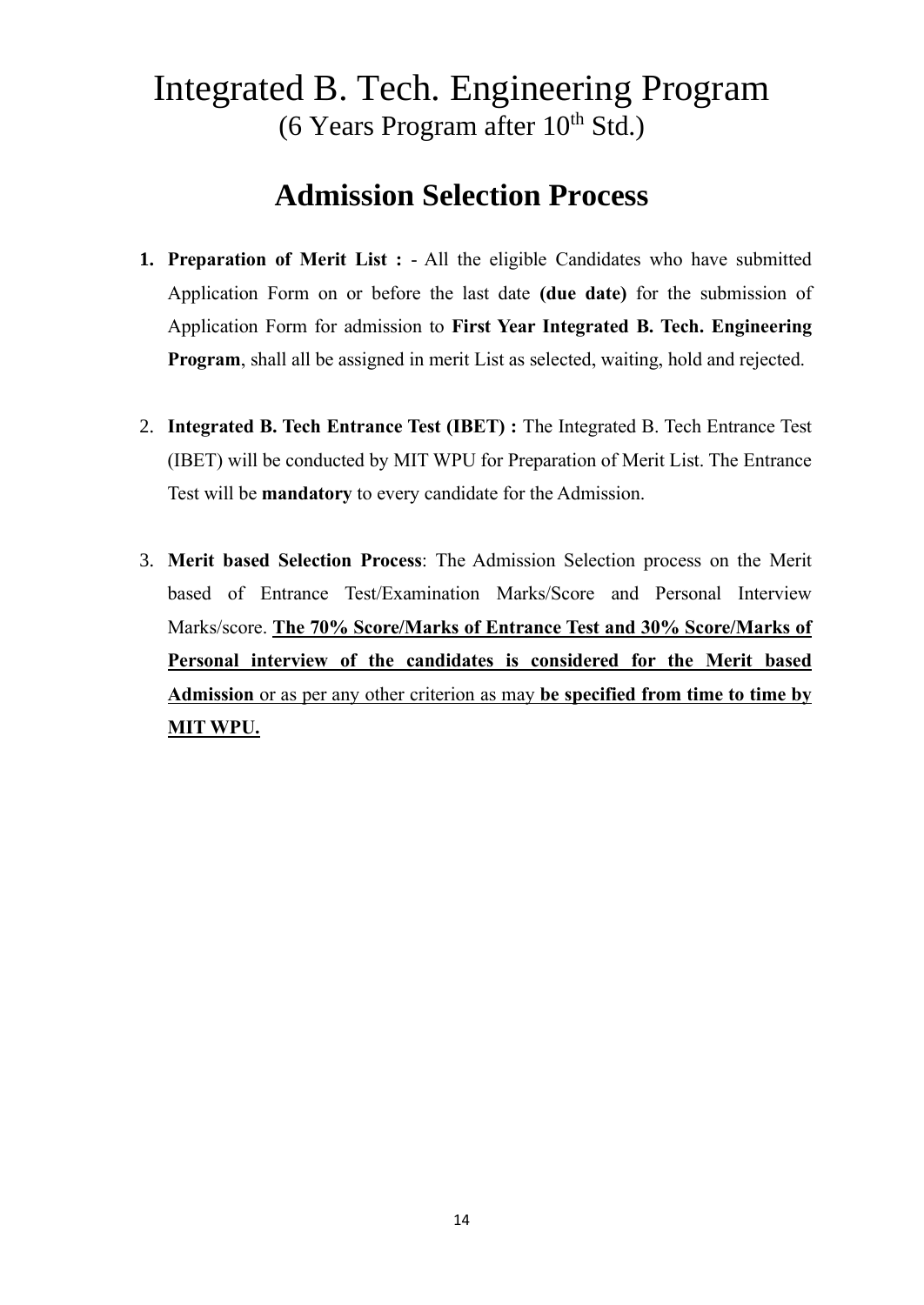### Integrated B. Tech. Engineering Program (6 Years Program after  $10^{th}$  Std.)

### **Admission Selection Process**

- **1. Preparation of Merit List :** All the eligible Candidates who have submitted Application Form on or before the last date **(due date)** for the submission of Application Form for admission to **First Year Integrated B. Tech. Engineering Program**, shall all be assigned in merit List as selected, waiting, hold and rejected.
- 2. **Integrated B. Tech Entrance Test (IBET) :** The Integrated B. Tech Entrance Test (IBET) will be conducted by MIT WPU for Preparation of Merit List. The Entrance Test will be **mandatory** to every candidate for the Admission.
- 3. **Merit based Selection Process**: The Admission Selection process on the Merit based of Entrance Test/Examination Marks/Score and Personal Interview Marks/score. **The 70% Score/Marks of Entrance Test and 30% Score/Marks of Personal interview of the candidates is considered for the Merit based Admission** or as per any other criterion as may **be specified from time to time by MIT WPU.**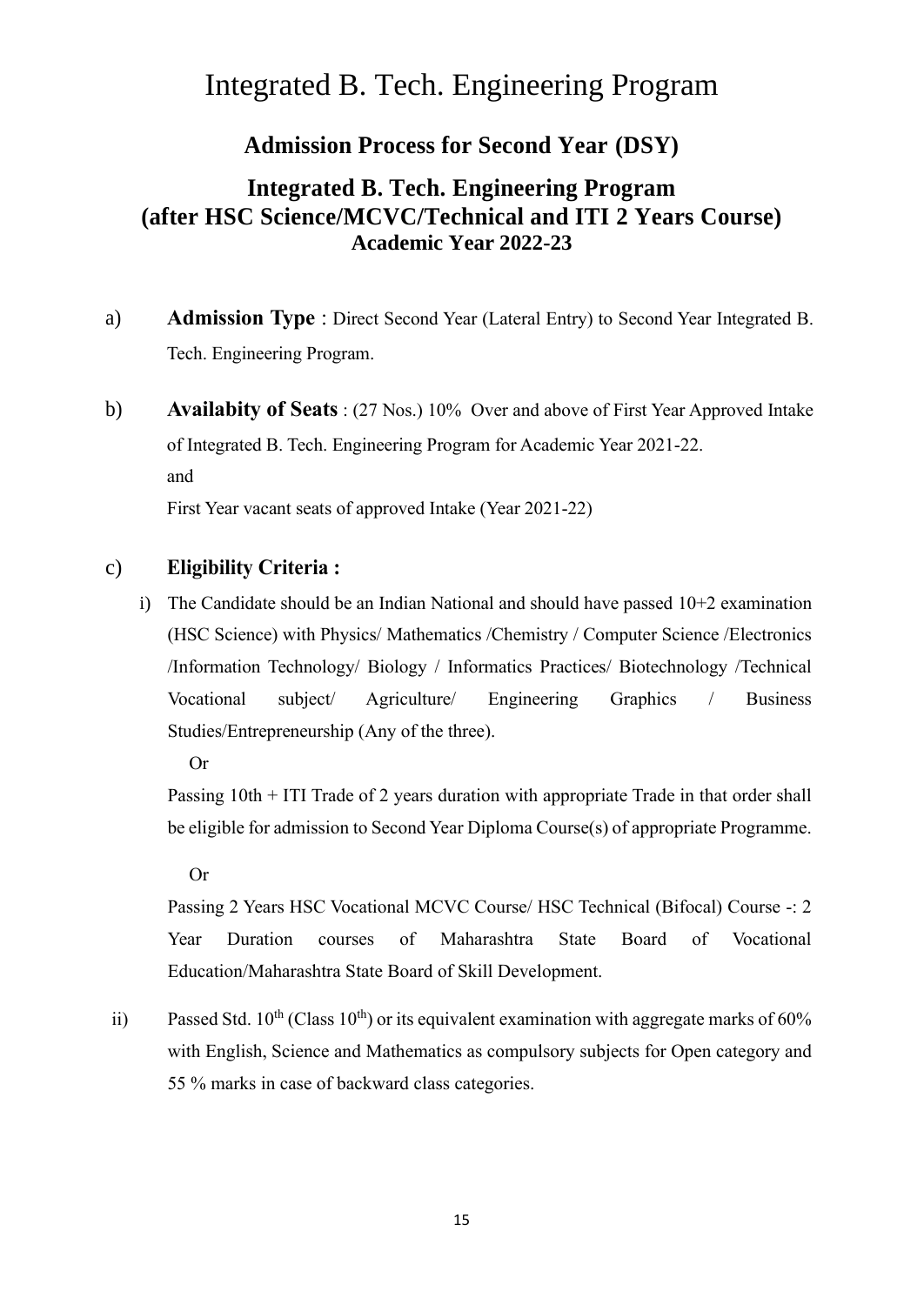### Integrated B. Tech. Engineering Program

#### **Admission Process for Second Year (DSY)**

#### **Integrated B. Tech. Engineering Program (after HSC Science/MCVC/Technical and ITI 2 Years Course) Academic Year 2022-23**

- a) **Admission Type** : Direct Second Year (Lateral Entry) to Second Year Integrated B. Tech. Engineering Program.
- b) **Availabity of Seats** : (27 Nos.) 10% Over and above of First Year Approved Intake of Integrated B. Tech. Engineering Program for Academic Year 2021-22. and First Year vacant seats of approved Intake (Year 2021-22)

#### c) **Eligibility Criteria :**

i) The Candidate should be an Indian National and should have passed 10+2 examination (HSC Science) with Physics/ Mathematics /Chemistry / Computer Science /Electronics /Information Technology/ Biology / Informatics Practices/ Biotechnology /Technical Vocational subject/ Agriculture/ Engineering Graphics / Business Studies/Entrepreneurship (Any of the three).

Or

Passing 10th + ITI Trade of 2 years duration with appropriate Trade in that order shall be eligible for admission to Second Year Diploma Course(s) of appropriate Programme.

Or

Passing 2 Years HSC Vocational MCVC Course/ HSC Technical (Bifocal) Course -: 2 Year Duration courses of Maharashtra State Board of Vocational Education/Maharashtra State Board of Skill Development.

ii) Passed Std.  $10^{th}$  (Class  $10^{th}$ ) or its equivalent examination with aggregate marks of 60% with English, Science and Mathematics as compulsory subjects for Open category and 55 % marks in case of backward class categories.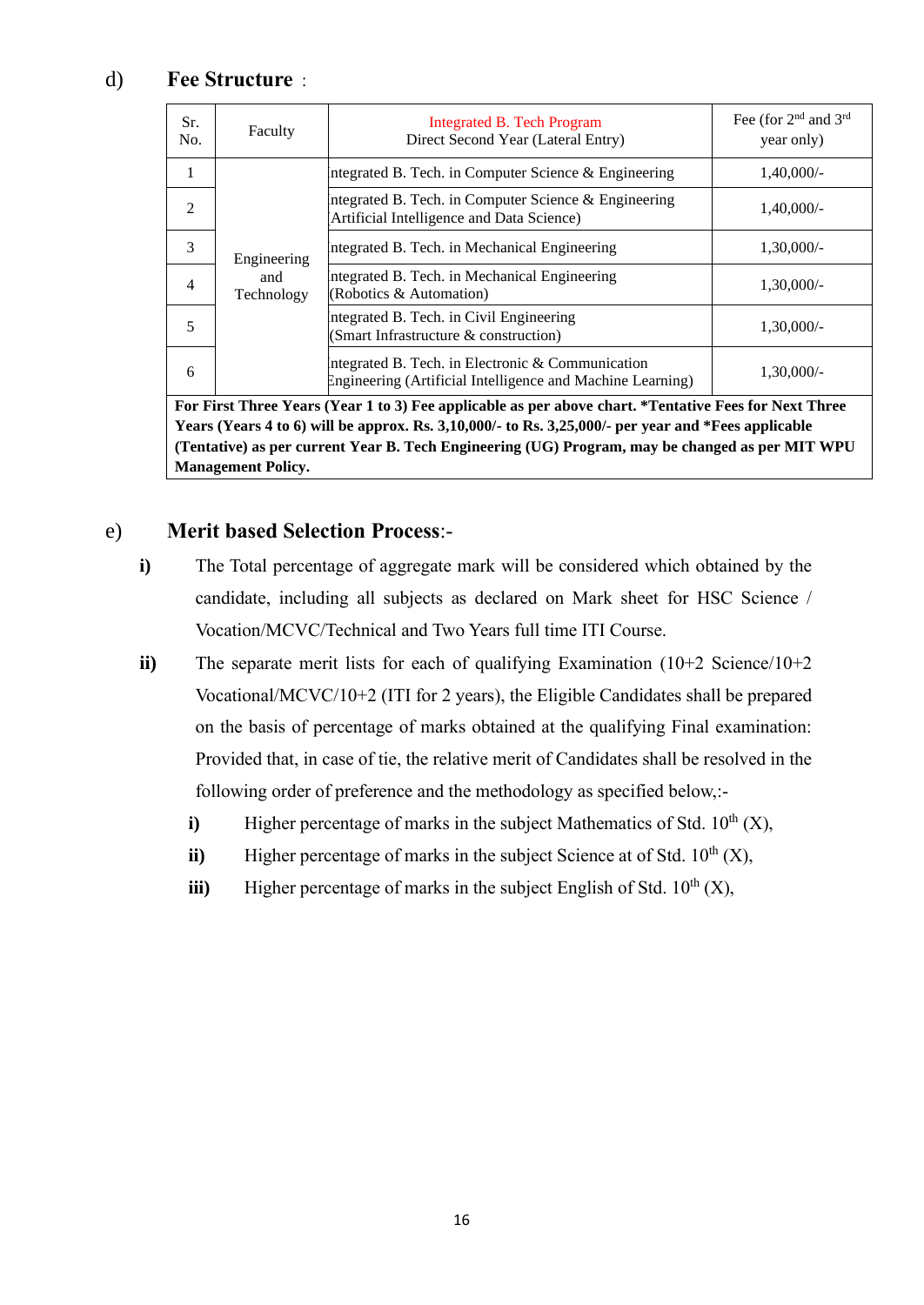#### d) **Fee Structure** :

| Sr.<br>No.                                                                                            | Faculty                          | Integrated B. Tech Program<br>Direct Second Year (Lateral Entry)                                                  | Fee (for 2 <sup>nd</sup> and 3 <sup>rd</sup><br>year only) |
|-------------------------------------------------------------------------------------------------------|----------------------------------|-------------------------------------------------------------------------------------------------------------------|------------------------------------------------------------|
| 1                                                                                                     | Engineering<br>and<br>Technology | Integrated B. Tech. in Computer Science $\&$ Engineering                                                          | $1,40,000/-$                                               |
| 2                                                                                                     |                                  | ntegrated B. Tech. in Computer Science & Engineering<br>Artificial Intelligence and Data Science)                 | $1,40,000/-$                                               |
| 3                                                                                                     |                                  | Integrated B. Tech. in Mechanical Engineering                                                                     | $1,30,000/-$                                               |
| 4                                                                                                     |                                  | Integrated B. Tech. in Mechanical Engineering<br>(Robotics & Automation)                                          | $1,30,000/-$                                               |
| 5                                                                                                     |                                  | Integrated B. Tech. in Civil Engineering<br>(Smart Infrastructure & construction)                                 | $1,30,000/-$                                               |
| 6                                                                                                     |                                  | Integrated B. Tech. in Electronic $&$ Communication<br>Engineering (Artificial Intelligence and Machine Learning) | $1,30,000/-$                                               |
| For First Three Years (Year 1 to 3) Fee applicable as per above chart. *Tentative Fees for Next Three |                                  |                                                                                                                   |                                                            |
| Years (Years 4 to 6) will be approx. Rs. 3,10,000/- to Rs. 3,25,000/- per year and *Fees applicable   |                                  |                                                                                                                   |                                                            |
| (Tentative) as per current Year B. Tech Engineering (UG) Program, may be changed as per MIT WPU       |                                  |                                                                                                                   |                                                            |
| <b>Management Policy.</b>                                                                             |                                  |                                                                                                                   |                                                            |

#### e) **Merit based Selection Process**:-

- **i)** The Total percentage of aggregate mark will be considered which obtained by the candidate, including all subjects as declared on Mark sheet for HSC Science / Vocation/MCVC/Technical and Two Years full time ITI Course.
- **ii**) The separate merit lists for each of qualifying Examination (10+2 Science/10+2 Vocational/MCVC/10+2 (ITI for 2 years), the Eligible Candidates shall be prepared on the basis of percentage of marks obtained at the qualifying Final examination: Provided that, in case of tie, the relative merit of Candidates shall be resolved in the following order of preference and the methodology as specified below,:
	- **i**) Higher percentage of marks in the subject Mathematics of Std.  $10<sup>th</sup>$  (X),
	- **ii**) Higher percentage of marks in the subject Science at of Std.  $10<sup>th</sup>$  (X),
	- **iii**) Higher percentage of marks in the subject English of Std.  $10<sup>th</sup>$  (X),